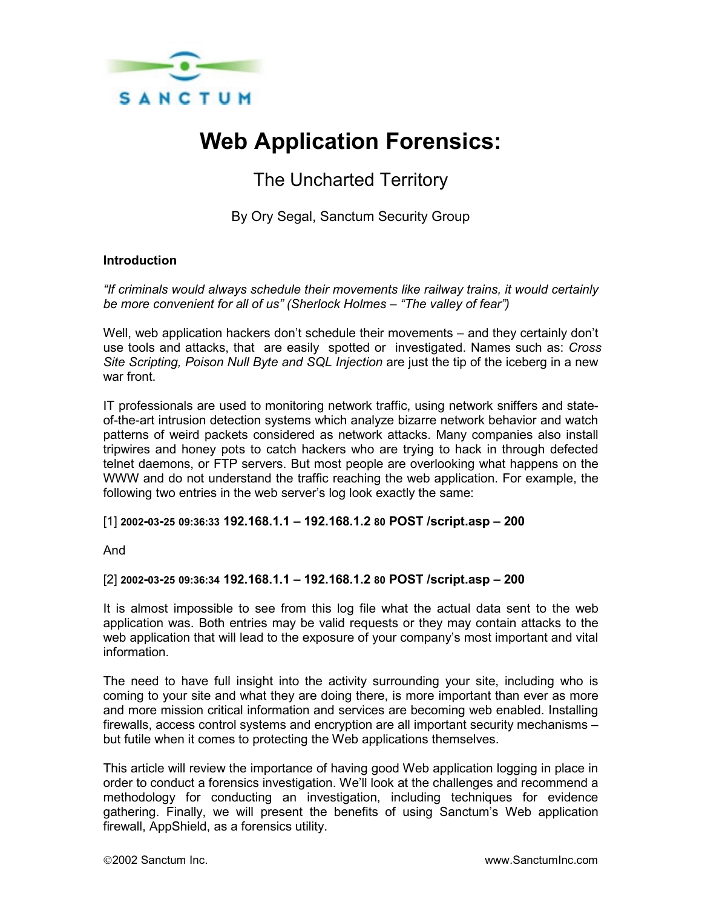

# **Web Application Forensics:**

## The Uncharted Territory

By Ory Segal, Sanctum Security Group

#### **Introduction**

*"If criminals would always schedule their movements like railway trains, it would certainly be more convenient for all of us" (Sherlock Holmes – "The valley of fear")* 

Well, web application hackers don't schedule their movements – and they certainly don't use tools and attacks, that are easily spotted or investigated. Names such as: *Cross Site Scripting, Poison Null Byte and SQL Injection* are just the tip of the iceberg in a new war front.

IT professionals are used to monitoring network traffic, using network sniffers and stateof-the-art intrusion detection systems which analyze bizarre network behavior and watch patterns of weird packets considered as network attacks. Many companies also install tripwires and honey pots to catch hackers who are trying to hack in through defected telnet daemons, or FTP servers. But most people are overlooking what happens on the WWW and do not understand the traffic reaching the web application. For example, the following two entries in the web server's log look exactly the same:

[1] **2002-03-25 09:36:33 192.168.1.1 – 192.168.1.2 80 POST /script.asp – 200** 

And

### [2] **2002-03-25 09:36:34 192.168.1.1 – 192.168.1.2 80 POST /script.asp – 200**

It is almost impossible to see from this log file what the actual data sent to the web application was. Both entries may be valid requests or they may contain attacks to the web application that will lead to the exposure of your company's most important and vital information.

The need to have full insight into the activity surrounding your site, including who is coming to your site and what they are doing there, is more important than ever as more and more mission critical information and services are becoming web enabled. Installing firewalls, access control systems and encryption are all important security mechanisms – but futile when it comes to protecting the Web applications themselves.

This article will review the importance of having good Web application logging in place in order to conduct a forensics investigation. We'll look at the challenges and recommend a methodology for conducting an investigation, including techniques for evidence gathering. Finally, we will present the benefits of using Sanctum's Web application firewall, AppShield, as a forensics utility.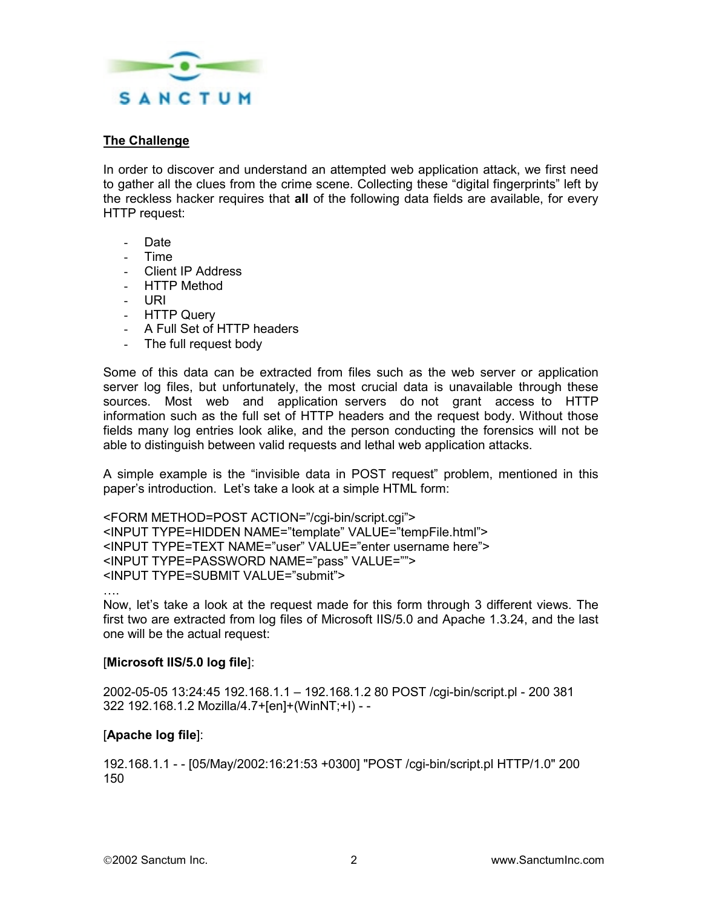

#### **The Challenge**

In order to discover and understand an attempted web application attack, we first need to gather all the clues from the crime scene. Collecting these "digital fingerprints" left by the reckless hacker requires that **all** of the following data fields are available, for every HTTP request:

- Date
- Time
- Client IP Address
- HTTP Method
- URI
- HTTP Query
- A Full Set of HTTP headers
- The full request body

Some of this data can be extracted from files such as the web server or application server log files, but unfortunately, the most crucial data is unavailable through these sources. Most web and application servers do not grant access to HTTP information such as the full set of HTTP headers and the request body. Without those fields many log entries look alike, and the person conducting the forensics will not be able to distinguish between valid requests and lethal web application attacks.

A simple example is the "invisible data in POST request" problem, mentioned in this paper's introduction. Let's take a look at a simple HTML form:

<FORM METHOD=POST ACTION="/cgi-bin/script.cgi"> <INPUT TYPE=HIDDEN NAME="template" VALUE="tempFile.html"> <INPUT TYPE=TEXT NAME="user" VALUE="enter username here"> <INPUT TYPE=PASSWORD NAME="pass" VALUE=""> <INPUT TYPE=SUBMIT VALUE="submit">

….

Now, let's take a look at the request made for this form through 3 different views. The first two are extracted from log files of Microsoft IIS/5.0 and Apache 1.3.24, and the last one will be the actual request:

#### [**Microsoft IIS/5.0 log file**]:

2002-05-05 13:24:45 192.168.1.1 – 192.168.1.2 80 POST /cgi-bin/script.pl - 200 381 322 192.168.1.2 Mozilla/4.7+[en]+(WinNT;+I) - -

### [**Apache log file**]:

192.168.1.1 - - [05/May/2002:16:21:53 +0300] "POST /cgi-bin/script.pl HTTP/1.0" 200 150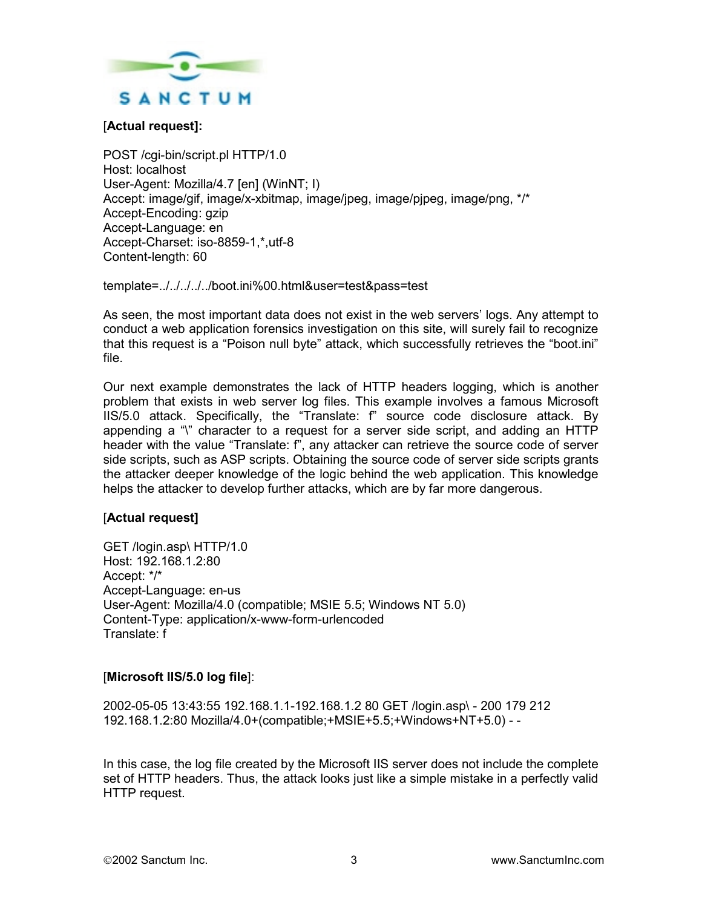

[**Actual request]:**

POST /cgi-bin/script.pl HTTP/1.0 Host: localhost User-Agent: Mozilla/4.7 [en] (WinNT; I) Accept: image/gif, image/x-xbitmap, image/jpeg, image/pjpeg, image/png, \*/\* Accept-Encoding: gzip Accept-Language: en Accept-Charset: iso-8859-1,\*,utf-8 Content-length: 60

template=../../../../../boot.ini%00.html&user=test&pass=test

As seen, the most important data does not exist in the web servers' logs. Any attempt to conduct a web application forensics investigation on this site, will surely fail to recognize that this request is a "Poison null byte" attack, which successfully retrieves the "boot.ini" file.

Our next example demonstrates the lack of HTTP headers logging, which is another problem that exists in web server log files. This example involves a famous Microsoft IIS/5.0 attack. Specifically, the "Translate: f" source code disclosure attack. By appending a "\" character to a request for a server side script, and adding an HTTP header with the value "Translate: f", any attacker can retrieve the source code of server side scripts, such as ASP scripts. Obtaining the source code of server side scripts grants the attacker deeper knowledge of the logic behind the web application. This knowledge helps the attacker to develop further attacks, which are by far more dangerous.

### [**Actual request]**

GET /login.asp\ HTTP/1.0 Host: 192.168.1.2:80 Accept: \*/\* Accept-Language: en-us User-Agent: Mozilla/4.0 (compatible; MSIE 5.5; Windows NT 5.0) Content-Type: application/x-www-form-urlencoded Translate: f

### [**Microsoft IIS/5.0 log file**]:

2002-05-05 13:43:55 192.168.1.1-192.168.1.2 80 GET /login.asp\ - 200 179 212 192.168.1.2:80 Mozilla/4.0+(compatible;+MSIE+5.5;+Windows+NT+5.0) - -

In this case, the log file created by the Microsoft IIS server does not include the complete set of HTTP headers. Thus, the attack looks just like a simple mistake in a perfectly valid HTTP request.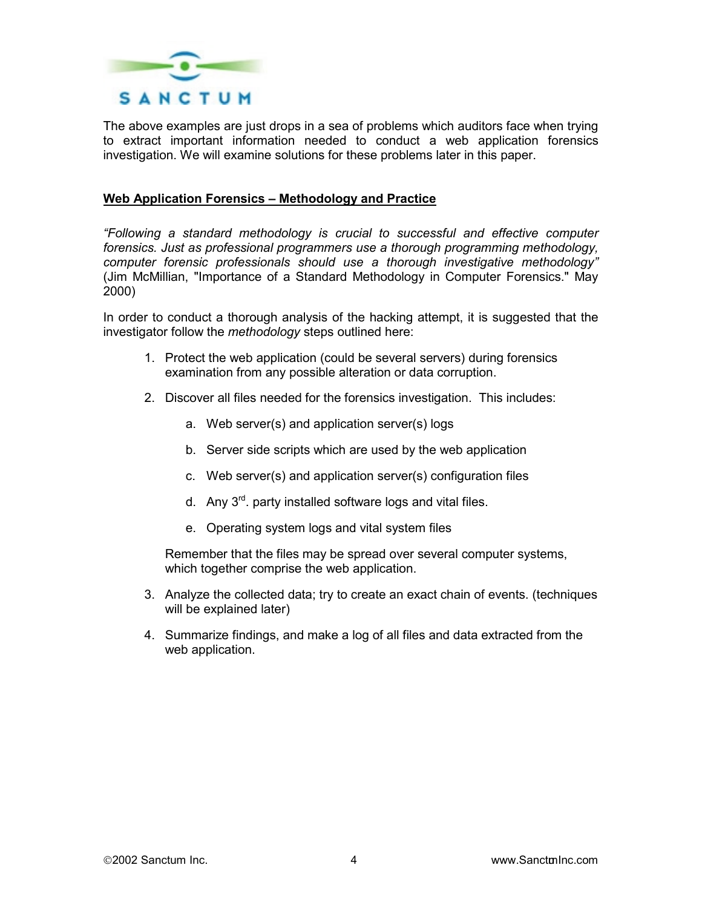

The above examples are just drops in a sea of problems which auditors face when trying to extract important information needed to conduct a web application forensics investigation. We will examine solutions for these problems later in this paper.

#### **Web Application Forensics – Methodology and Practice**

*"Following a standard methodology is crucial to successful and effective computer forensics. Just as professional programmers use a thorough programming methodology, computer forensic professionals should use a thorough investigative methodology"*  (Jim McMillian, "Importance of a Standard Methodology in Computer Forensics." May 2000)

In order to conduct a thorough analysis of the hacking attempt, it is suggested that the investigator follow the *methodology* steps outlined here:

- 1. Protect the web application (could be several servers) during forensics examination from any possible alteration or data corruption.
- 2. Discover all files needed for the forensics investigation. This includes:
	- a. Web server(s) and application server(s) logs
	- b. Server side scripts which are used by the web application
	- c. Web server(s) and application server(s) configuration files
	- d. Any  $3^{rd}$ , party installed software logs and vital files.
	- e. Operating system logs and vital system files

Remember that the files may be spread over several computer systems, which together comprise the web application.

- 3. Analyze the collected data; try to create an exact chain of events. (techniques will be explained later)
- 4. Summarize findings, and make a log of all files and data extracted from the web application.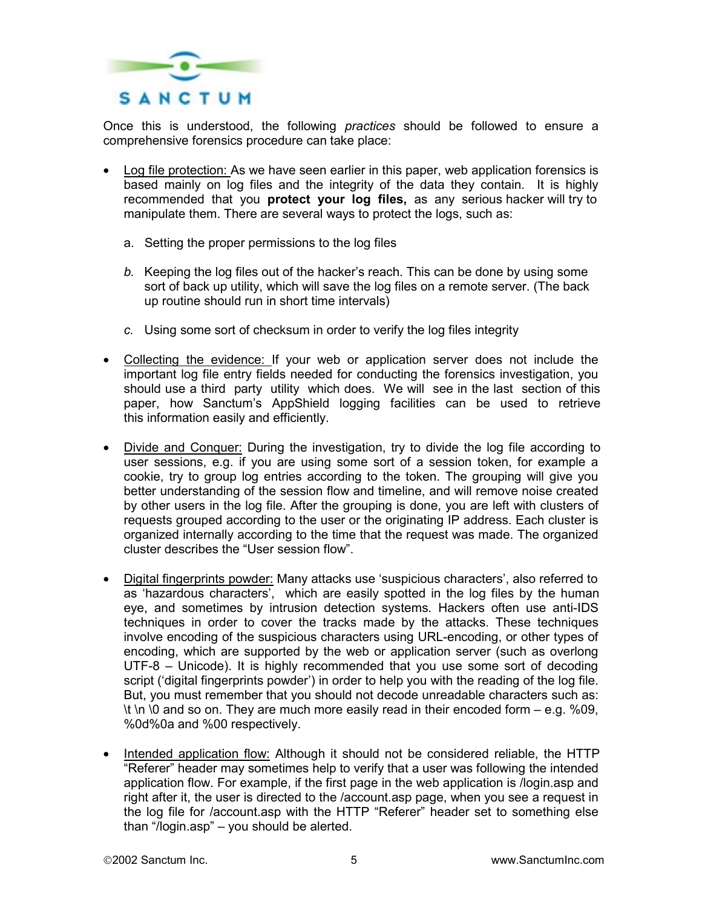

Once this is understood, the following *practices* should be followed to ensure a comprehensive forensics procedure can take place:

- Log file protection: As we have seen earlier in this paper, web application forensics is based mainly on log files and the integrity of the data they contain. It is highly recommended that you **protect your log files,** as any serious hacker will try to manipulate them. There are several ways to protect the logs, such as:
	- a. Setting the proper permissions to the log files
	- *b.* Keeping the log files out of the hacker's reach. This can be done by using some sort of back up utility, which will save the log files on a remote server. (The back up routine should run in short time intervals)
	- *c.* Using some sort of checksum in order to verify the log files integrity
- Collecting the evidence: If your web or application server does not include the important log file entry fields needed for conducting the forensics investigation, you should use a third party utility which does. We will see in the last section of this paper, how Sanctum's AppShield logging facilities can be used to retrieve this information easily and efficiently.
- Divide and Conquer: During the investigation, try to divide the log file according to user sessions, e.g. if you are using some sort of a session token, for example a cookie, try to group log entries according to the token. The grouping will give you better understanding of the session flow and timeline, and will remove noise created by other users in the log file. After the grouping is done, you are left with clusters of requests grouped according to the user or the originating IP address. Each cluster is organized internally according to the time that the request was made. The organized cluster describes the "User session flow".
- Digital fingerprints powder: Many attacks use 'suspicious characters', also referred to as 'hazardous characters', which are easily spotted in the log files by the human eye, and sometimes by intrusion detection systems. Hackers often use anti-IDS techniques in order to cover the tracks made by the attacks. These techniques involve encoding of the suspicious characters using URL-encoding, or other types of encoding, which are supported by the web or application server (such as overlong UTF-8 – Unicode). It is highly recommended that you use some sort of decoding script ('digital fingerprints powder') in order to help you with the reading of the log file. But, you must remember that you should not decode unreadable characters such as:  $\lambda$ t  $\lambda$ n  $\Omega$  and so on. They are much more easily read in their encoded form – e.g. %09, %0d%0a and %00 respectively.
- Intended application flow: Although it should not be considered reliable, the HTTP "Referer" header may sometimes help to verify that a user was following the intended application flow. For example, if the first page in the web application is /login.asp and right after it, the user is directed to the /account.asp page, when you see a request in the log file for /account.asp with the HTTP "Referer" header set to something else than "/login.asp" – you should be alerted.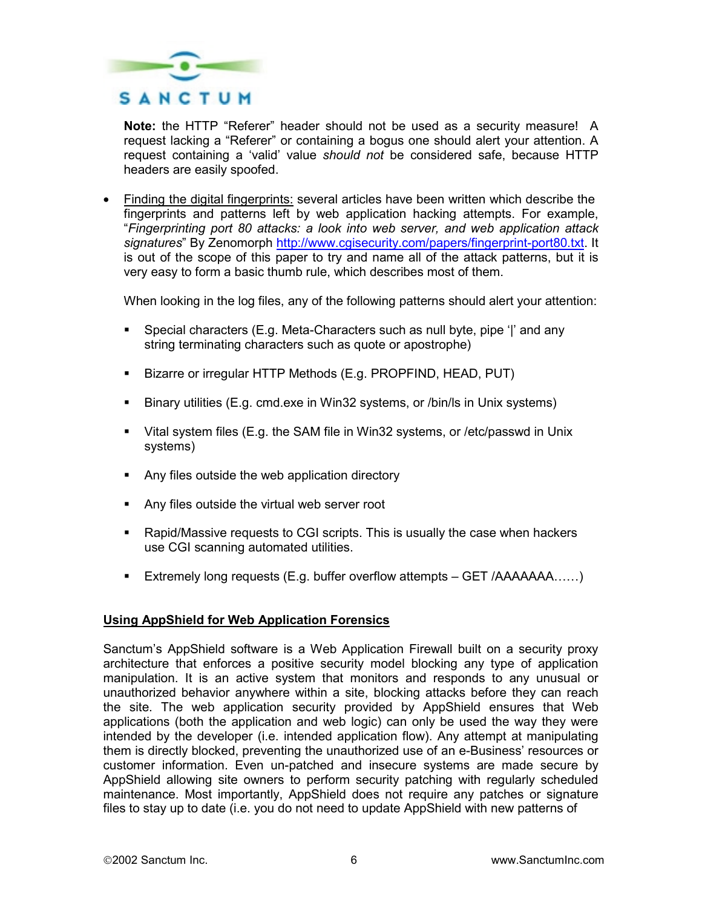

**Note:** the HTTP "Referer" header should not be used as a security measure! A request lacking a "Referer" or containing a bogus one should alert your attention. A request containing a 'valid' value *should not* be considered safe, because HTTP headers are easily spoofed.

• Finding the digital fingerprints: several articles have been written which describe the fingerprints and patterns left by web application hacking attempts. For example, "*Fingerprinting port 80 attacks: a look into web server, and web application attack signatures*" By Zenomorph http://www.cgisecurity.com/papers/fingerprint-port80.txt. It is out of the scope of this paper to try and name all of the attack patterns, but it is very easy to form a basic thumb rule, which describes most of them.

When looking in the log files, any of the following patterns should alert your attention:

- Special characters (E.g. Meta-Characters such as null byte, pipe '|' and any string terminating characters such as quote or apostrophe)
- **Bizarre or irregular HTTP Methods (E.g. PROPFIND, HEAD, PUT)**
- Binary utilities (E.g. cmd.exe in Win32 systems, or /bin/ls in Unix systems)
- Vital system files (E.g. the SAM file in Win32 systems, or /etc/passwd in Unix systems)
- **-** Any files outside the web application directory
- **-** Any files outside the virtual web server root
- Rapid/Massive requests to CGI scripts. This is usually the case when hackers use CGI scanning automated utilities.
- **Extremely long requests (E.g. buffer overflow attempts GET /AAAAAAA......)**

#### **Using AppShield for Web Application Forensics**

Sanctum's AppShield software is a Web Application Firewall built on a security proxy architecture that enforces a positive security model blocking any type of application manipulation. It is an active system that monitors and responds to any unusual or unauthorized behavior anywhere within a site, blocking attacks before they can reach the site. The web application security provided by AppShield ensures that Web applications (both the application and web logic) can only be used the way they were intended by the developer (i.e. intended application flow). Any attempt at manipulating them is directly blocked, preventing the unauthorized use of an e-Business' resources or customer information. Even un-patched and insecure systems are made secure by AppShield allowing site owners to perform security patching with regularly scheduled maintenance. Most importantly, AppShield does not require any patches or signature files to stay up to date (i.e. you do not need to update AppShield with new patterns of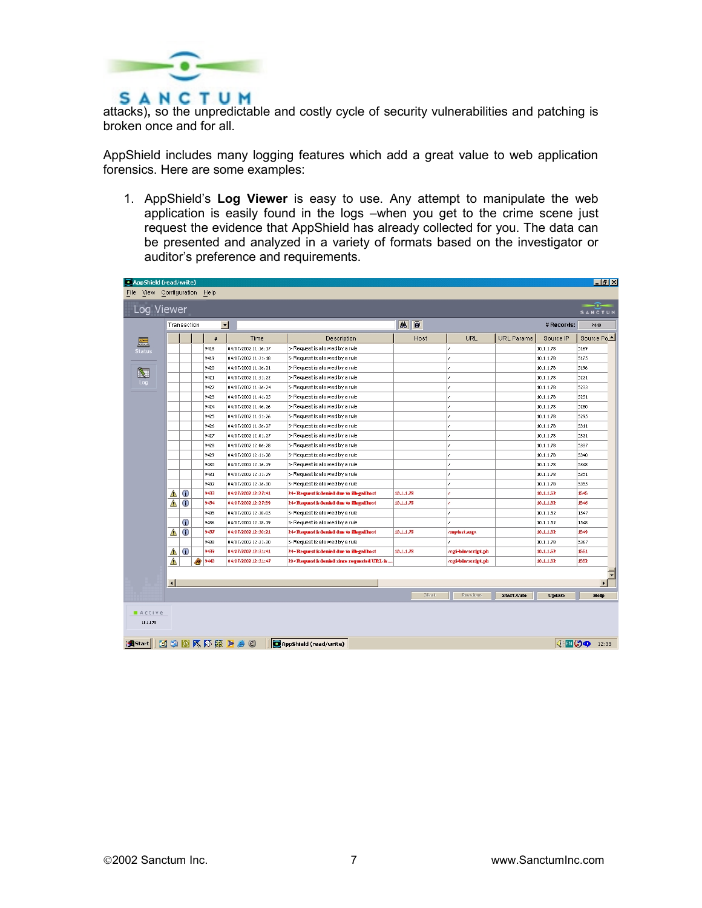

**S A N C T U M**<br>attacks), so the unpredictable and costly cycle of security vulnerabilities and patching is broken once and for all.

AppShield includes many logging features which add a great value to web application forensics. Here are some examples:

1. AppShield's **Log Viewer** is easy to use. Any attempt to manipulate the web application is easily found in the logs –when you get to the crime scene just request the evidence that AppShield has already collected for you. The data can be presented and analyzed in a variety of formats based on the investigator or auditor's preference and requirements.

|                           |               | Transaction  |                          | $\blacktriangledown$ |                                               | 86<br>$^{\circ}$ |                     |            | # Records: | 9440        |
|---------------------------|---------------|--------------|--------------------------|----------------------|-----------------------------------------------|------------------|---------------------|------------|------------|-------------|
|                           |               |              | $\pmb{\ast}$             | Time                 | Description                                   | Host             | URL                 | URL Params | Source IP  | Source Po - |
| $\equiv$<br><b>Status</b> |               |              | 9418                     | 04/07/2002 11:16:17  | 5- Request is allowed by a rule               |                  |                     |            | 10.1.1.78  | 5169        |
|                           |               |              | 9419                     | 04/07/2002 11:21:18  | 5- Request is allowed by a rule               |                  |                     |            | 10.1.1.78  | 5175        |
|                           |               |              | 9420                     | 04/07/2002 11:26:21  | 5- Request is allowed by a rule               |                  |                     |            | 10.1.1.78  | 5196        |
| $\mathbb{Z}$              |               |              | 9421                     | 04/07/2002 11:31:22  | 5- Request is allowed by a rule               |                  |                     |            | 10.1.1.78  | 5221        |
|                           |               |              | 9422                     | 04/07/2002 11:36:24  | 5- Request is allowed by a rule               |                  |                     |            | 10.1.1.78  | 5233        |
|                           |               |              | 9423                     | 04/07/2002 11:41:25  | 5- Request is allowed by a rule               |                  |                     |            | 10.1.1.78  | 5251        |
|                           |               |              | 9424                     | 04/07/2002 11:46:26  | 5- Request is allowed by a rule               |                  |                     |            | 10.1.1.78  | 5280        |
|                           |               |              | 9425                     | 04/07/2002 11:51:26  | 5- Request is allowed by a rule               |                  |                     |            | 10.1.1.78  | 5295        |
|                           |               |              | 9426                     | 04/07/2002 11:56:27  | 5- Request is allowed by a rule               |                  |                     |            | 10.1.1.78  | 5311        |
|                           |               |              | 9427                     | 04/07/2002 12:01:27  | 5- Request is allowed by a rule               |                  |                     |            | 10.1.1.78  | 5321        |
|                           |               |              | 9428                     | 04/07/2002 12:06:28  | 5- Request is allowed by a rule               |                  |                     |            | 10.1.1.78  | 5337        |
|                           |               |              | 9429                     | 04/07/2002 12:11:28  | 5- Request is allowed by a rule               |                  |                     |            | 10.1.1.78  | 5340        |
|                           |               |              | 9430                     | 04/07/2002 12:16:29  | 5- Request is allowed by a rule               |                  |                     |            | 10.1.1.78  | 5348        |
|                           |               |              | 9431                     | 04/07/2002 12:21:29  | 5- Request is allowed by a rule               |                  |                     |            | 10.1.1.78  | 5351        |
|                           |               |              | 9432                     | 04/07/2002 12:26:30  | 5- Request is allowed by a rule               |                  |                     |            | 10.1.1.78  | 5355        |
|                           | ⚠             | $^\circledR$ | 9433                     | 04/07/2002 12:27:41  | 24-Request is denied due to illegal host      | 10.1.1.78        |                     |            | 10.1.1.52  | 1545        |
|                           | $\triangle$   | $_{\odot}$   | 9434                     | 04/07/2002 12:27:59  | 24- Request is denied due to illegal host     | 10.1.1.78        |                     |            | 10.1.1.52  | 1546        |
|                           |               |              | 9435                     | 04/07/2002 12:28:05  | 5- Request is allowed by a rule               |                  |                     |            | 10.1.1.52  | 1547        |
|                           |               | $\bigcirc$   | 9436                     | 04/07/2002 12:28:19  | 5- Request is allowed by a rule               |                  |                     |            | 10.1.1.52  | 1548        |
|                           | $\triangle$   | $\bigcirc$   | 9437                     | 04/07/2002 12:30:21  | 24- Request is denied due to illegal host     | 10.1.1.78        | /mytest.asp\        |            | 10.1.1.52  | 1549        |
|                           |               |              | 9438                     | 04/07/2002 12:31:30  | 5- Request is allowed by a rule               |                  |                     |            | 10.1.1.78  | 5367        |
|                           | ⚠             | $\bigcirc$   | 9439                     | 04/07/2002 12:31:41  | 24-Request is denied due to illegal host      | 10.1.1.78        | /cgi-bin/script.pl\ |            | 10.1.1.52  | 1551        |
|                           | Δ             |              | 9440<br>$\boldsymbol{R}$ | 04/07/2002 12:31:47  | 20 - Request is denied since requested URL is |                  | cgi-bin/script.pl.  |            | 10.1.1.52  | 1552        |
|                           |               |              |                          |                      |                                               |                  |                     |            |            |             |
|                           | $\vert \vert$ |              |                          |                      |                                               |                  |                     |            |            |             |
|                           |               |              |                          |                      |                                               | Next             | Previous            | Start Auto | Update     |             |
|                           |               |              |                          |                      |                                               |                  |                     |            |            | Help        |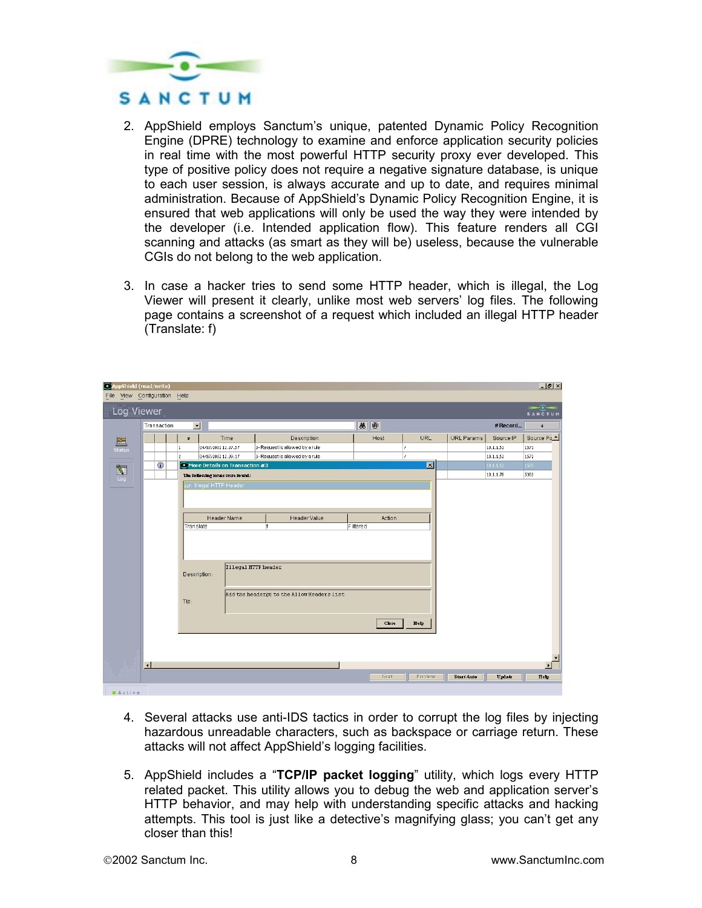

- 2. AppShield employs Sanctum's unique, patented Dynamic Policy Recognition Engine (DPRE) technology to examine and enforce application security policies in real time with the most powerful HTTP security proxy ever developed. This type of positive policy does not require a negative signature database, is unique to each user session, is always accurate and up to date, and requires minimal administration. Because of AppShield's Dynamic Policy Recognition Engine, it is ensured that web applications will only be used the way they were intended by the developer (i.e. Intended application flow). This feature renders all CGI scanning and attacks (as smart as they will be) useless, because the vulnerable CGIs do not belong to the web application.
- 3. In case a hacker tries to send some HTTP header, which is illegal, the Log Viewer will present it clearly, unlike most web servers' log files. The following page contains a screenshot of a request which included an illegal HTTP header (Translate: f)

| AppShield (read/write)       |                        |                                                               |                                                   |                                             |                                  |  |                                 |  |  |       |      |            |            |           |                | $-15$ $\times$ |
|------------------------------|------------------------|---------------------------------------------------------------|---------------------------------------------------|---------------------------------------------|----------------------------------|--|---------------------------------|--|--|-------|------|------------|------------|-----------|----------------|----------------|
| File View Configuration Help |                        |                                                               |                                                   |                                             |                                  |  |                                 |  |  |       |      |            |            |           |                |                |
| Log Viewer                   |                        |                                                               |                                                   |                                             |                                  |  |                                 |  |  |       |      |            |            |           | SANCTUM        |                |
|                              |                        | $\bullet$<br>$\bullet$<br>Transaction<br>$\blacktriangledown$ |                                                   |                                             |                                  |  |                                 |  |  |       |      |            |            | #Record   | $\overline{4}$ |                |
| 酉                            |                        |                                                               | $\pmb{\sharp}$                                    |                                             | Time                             |  | Description                     |  |  | Host  |      | <b>URL</b> | URL Params | Source IP | Source Po      |                |
| <b>Status</b>                |                        |                                                               | $\mathbf{1}$                                      | 04/07/2002 12:37:57                         |                                  |  | 5- Request is allowed by a rule |  |  |       |      |            |            | 10.1.1.52 | 1571           |                |
|                              |                        |                                                               | Ŷ.                                                | 04/07/2002 12:39:17                         |                                  |  | 5- Request is allowed by a rule |  |  |       |      |            |            | 10.1.1.52 | 1572           |                |
|                              |                        | $\bf \bf \bf 0$                                               | $\vert x \vert$<br>More Details on Transaction #3 |                                             |                                  |  |                                 |  |  |       |      |            |            | 10.1.1.52 | 1573           |                |
| $\sum_{Log}$                 |                        |                                                               |                                                   |                                             | The following issues were found: |  |                                 |  |  |       |      |            |            | 10.1.1.78 | 5383           |                |
|                              |                        |                                                               |                                                   | 229: Illegal HTTP Header                    |                                  |  |                                 |  |  |       |      |            |            |           |                |                |
|                              |                        |                                                               |                                                   |                                             |                                  |  |                                 |  |  |       |      |            |            |           |                |                |
|                              |                        |                                                               |                                                   |                                             |                                  |  |                                 |  |  |       |      |            |            |           |                |                |
|                              |                        |                                                               |                                                   | Header Name<br>Action<br>Header Value       |                                  |  |                                 |  |  |       |      |            |            |           |                |                |
|                              |                        |                                                               | Translate                                         |                                             |                                  |  |                                 |  |  |       |      |            |            |           |                |                |
|                              |                        |                                                               |                                                   |                                             |                                  |  |                                 |  |  |       |      |            |            |           |                |                |
|                              |                        |                                                               |                                                   |                                             |                                  |  |                                 |  |  |       |      |            |            |           |                |                |
|                              |                        |                                                               |                                                   |                                             |                                  |  |                                 |  |  |       |      |            |            |           |                |                |
|                              |                        |                                                               |                                                   |                                             |                                  |  |                                 |  |  |       |      |            |            |           |                |                |
|                              |                        |                                                               |                                                   | Illegal HTTP header<br>Description:         |                                  |  |                                 |  |  |       |      |            |            |           |                |                |
|                              |                        |                                                               |                                                   |                                             |                                  |  |                                 |  |  |       |      |            |            |           |                |                |
|                              |                        |                                                               |                                                   | Add the header(s) to the Allow Headers list |                                  |  |                                 |  |  |       |      |            |            |           |                |                |
|                              |                        |                                                               |                                                   | Tip:                                        |                                  |  |                                 |  |  |       |      |            |            |           |                |                |
|                              |                        |                                                               |                                                   |                                             |                                  |  |                                 |  |  |       |      |            |            |           |                |                |
|                              |                        |                                                               |                                                   |                                             |                                  |  |                                 |  |  | Close | Help |            |            |           |                |                |
|                              |                        |                                                               |                                                   |                                             |                                  |  |                                 |  |  |       |      |            |            |           |                |                |
|                              |                        |                                                               |                                                   |                                             |                                  |  |                                 |  |  |       |      |            |            |           |                |                |
|                              |                        |                                                               |                                                   |                                             |                                  |  |                                 |  |  |       |      |            |            |           |                |                |
|                              |                        |                                                               |                                                   |                                             |                                  |  |                                 |  |  |       |      |            |            |           |                |                |
|                              | $\left  \cdot \right $ |                                                               |                                                   |                                             |                                  |  |                                 |  |  |       |      |            |            |           |                |                |
|                              |                        |                                                               |                                                   |                                             |                                  |  |                                 |  |  | Next  |      | Previous   | Start Auto | Update    | Help           |                |
| $A \cap f$ ive               |                        |                                                               |                                                   |                                             |                                  |  |                                 |  |  |       |      |            |            |           |                |                |

- 4. Several attacks use anti-IDS tactics in order to corrupt the log files by injecting hazardous unreadable characters, such as backspace or carriage return. These attacks will not affect AppShield's logging facilities.
- 5. AppShield includes a "**TCP/IP packet logging**" utility, which logs every HTTP related packet. This utility allows you to debug the web and application server's HTTP behavior, and may help with understanding specific attacks and hacking attempts. This tool is just like a detective's magnifying glass; you can't get any closer than this!